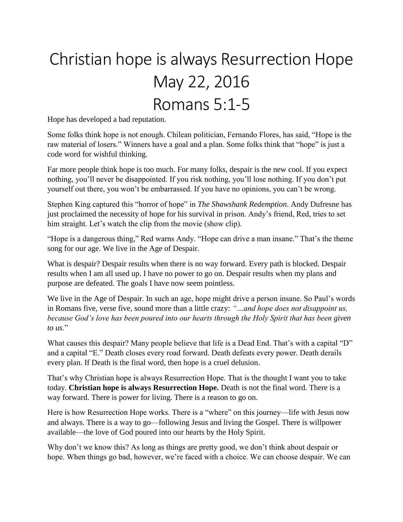## Christian hope is always Resurrection Hope May 22, 2016 Romans 5:1-5

Hope has developed a bad reputation.

Some folks think hope is not enough. Chilean politician, Fernando Flores, has said, "Hope is the raw material of losers." Winners have a goal and a plan. Some folks think that "hope" is just a code word for wishful thinking.

Far more people think hope is too much. For many folks, despair is the new cool. If you expect nothing, you'll never be disappointed. If you risk nothing, you'll lose nothing. If you don't put yourself out there, you won't be embarrassed. If you have no opinions, you can't be wrong.

Stephen King captured this "horror of hope" in *The Shawshank Redemption*. Andy Dufresne has just proclaimed the necessity of hope for his survival in prison. Andy's friend, Red, tries to set him straight. Let's watch the clip from the movie (show clip).

"Hope is a dangerous thing," Red warns Andy. "Hope can drive a man insane." That's the theme song for our age. We live in the Age of Despair.

What is despair? Despair results when there is no way forward. Every path is blocked. Despair results when I am all used up. I have no power to go on. Despair results when my plans and purpose are defeated. The goals I have now seem pointless.

We live in the Age of Despair. In such an age, hope might drive a person insane. So Paul's words in Romans five, verse five, sound more than a little crazy: *"…and hope does not disappoint us, because God's love has been poured into our hearts through the Holy Spirit that has been given to us*."

What causes this despair? Many people believe that life is a Dead End. That's with a capital "D" and a capital "E." Death closes every road forward. Death defeats every power. Death derails every plan. If Death is the final word, then hope is a cruel delusion.

That's why Christian hope is always Resurrection Hope. That is the thought I want you to take today. **Christian hope is always Resurrection Hope.** Death is not the final word. There is a way forward. There is power for living. There is a reason to go on.

Here is how Resurrection Hope works. There is a "where" on this journey—life with Jesus now and always. There is a way to go—following Jesus and living the Gospel. There is willpower available—the love of God poured into our hearts by the Holy Spirit.

Why don't we know this? As long as things are pretty good, we don't think about despair or hope. When things go bad, however, we're faced with a choice. We can choose despair. We can